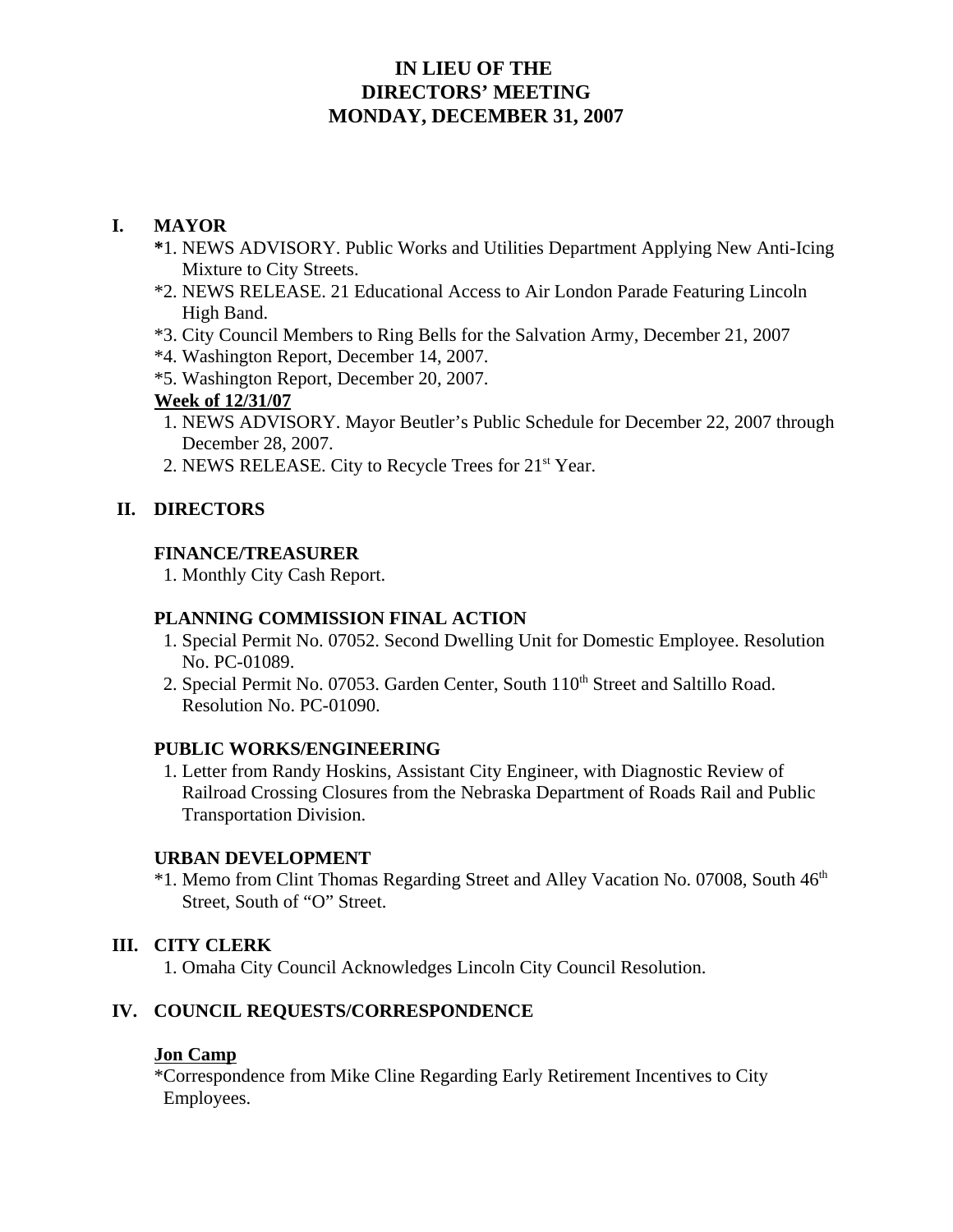# **IN LIEU OF THE DIRECTORS' MEETING MONDAY, DECEMBER 31, 2007**

## **I. MAYOR**

- **\***1. NEWS ADVISORY. Public Works and Utilities Department Applying New Anti-Icing Mixture to City Streets.
- \*2. NEWS RELEASE. 21 Educational Access to Air London Parade Featuring Lincoln High Band.
- \*3. City Council Members to Ring Bells for the Salvation Army, December 21, 2007
- \*4. Washington Report, December 14, 2007.
- \*5. Washington Report, December 20, 2007.

#### **Week of 12/31/07**

- 1. NEWS ADVISORY. Mayor Beutler's Public Schedule for December 22, 2007 through December 28, 2007.
- 2. NEWS RELEASE. City to Recycle Trees for 21<sup>st</sup> Year.

## **II. DIRECTORS**

### **FINANCE/TREASURER**

1. Monthly City Cash Report.

#### **PLANNING COMMISSION FINAL ACTION**

- 1. Special Permit No. 07052. Second Dwelling Unit for Domestic Employee. Resolution No. PC-01089.
- 2. Special Permit No. 07053. Garden Center, South 110<sup>th</sup> Street and Saltillo Road. Resolution No. PC-01090.

### **PUBLIC WORKS/ENGINEERING**

 1. Letter from Randy Hoskins, Assistant City Engineer, with Diagnostic Review of Railroad Crossing Closures from the Nebraska Department of Roads Rail and Public Transportation Division.

#### **URBAN DEVELOPMENT**

\*1. Memo from Clint Thomas Regarding Street and Alley Vacation No. 07008, South  $46<sup>th</sup>$ Street, South of "O" Street.

### **III. CITY CLERK**

1. Omaha City Council Acknowledges Lincoln City Council Resolution.

### **IV. COUNCIL REQUESTS/CORRESPONDENCE**

#### **Jon Camp**

\*Correspondence from Mike Cline Regarding Early Retirement Incentives to City Employees.